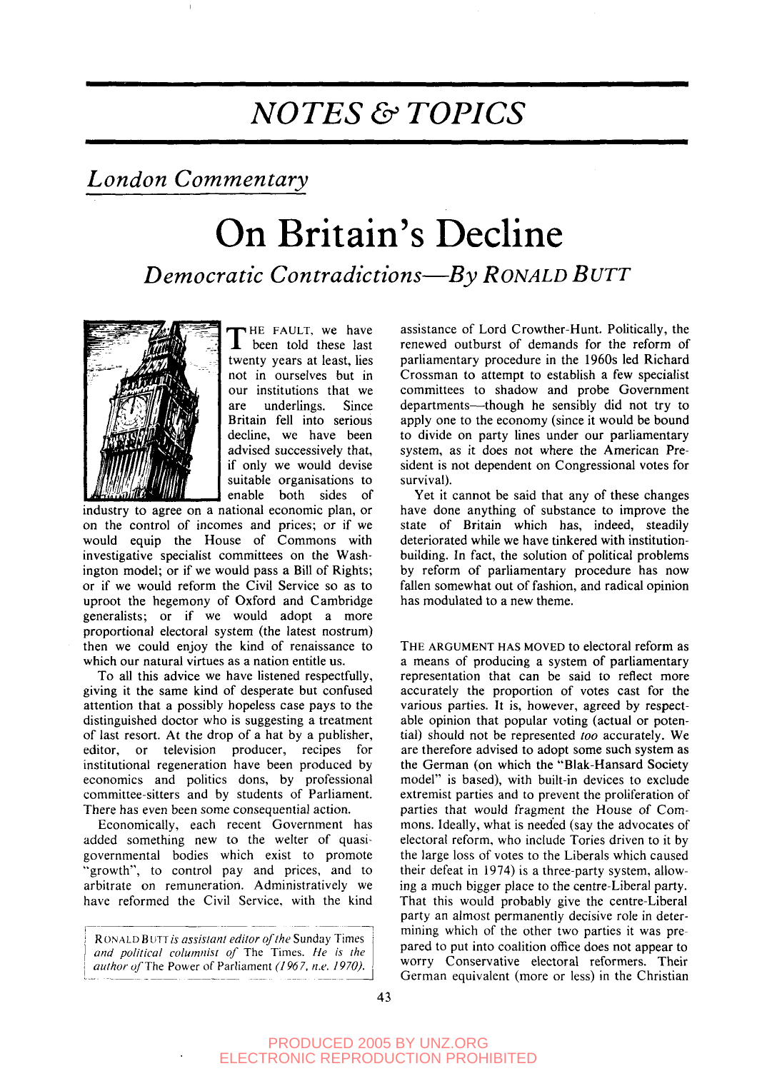## *NOTES & TOPICS*

## *London Commentary*

# On Britain's Decline *Democratic Contradictions*—*By RONALD BUTT*



THE FAULT, we have<br>been told these last HE FAULT, we have twenty years at least, lies not in ourselves but in our institutions that we are underlings. Since Britain fell into serious decline, we have been advised successively that, if only we would devise suitable organisations to enable both sides of

industry to agree on a national economic plan, or on the control of incomes and prices; or if we would equip the House of Commons with investigative specialist committees on the Washington model; or if we would pass a Bill of Rights; or if we would reform the Civil Service so as to uproot the hegemony of Oxford and Cambridge generalists; or if we would adopt a more proportional electoral system (the latest nostrum) then we could enjoy the kind of renaissance to which our natural virtues as a nation entitle us.

To all this advice we have listened respectfully, giving it the same kind of desperate but confused attention that a possibly hopeless case pays to the distinguished doctor who is suggesting a treatment of last resort. At the drop of a hat by a publisher, editor, or television producer, recipes for institutional regeneration have been produced by economics and politics dons, by professional committee-sitters and by students of Parliament. There has even been some consequential action.

Economically, each recent Government has added something new to the welter of quasigovernmental bodies which exist to promote "growth", to control pay and prices, and to arbitrate on remuneration. Administratively we have reformed the Civil Service, with the kind

RON ALD B UTT *is assistant editor of the* Sunday Times *and political columnist of* The Times. *He is the author of The* Power of Parliament *(196* 7, *n.e. 1970).*

assistance of Lord Crowther-Hunt. Politically, the renewed outburst of demands for the reform of parliamentary procedure in the 1960s led Richard Crossman to attempt to establish a few specialist committees to shadow and probe Government departments—though he sensibly did not try to apply one to the economy (since it would be bound to divide on party lines under our parliamentary system, as it does not where the American President is not dependent on Congressional votes for survival).

Yet it cannot be said that any of these changes have done anything of substance to improve the state of Britain which has, indeed, steadily deteriorated while we have tinkered with institutionbuilding. In fact, the solution of political problems by reform of parliamentary procedure has now fallen somewhat out of fashion, and radical opinion has modulated to a new theme.

THE ARGUMENT HAS MOVED to electoral reform as a means of producing a system of parliamentary representation that can be said to reflect more accurately the proportion of votes cast for the various parties. It is, however, agreed by respectable opinion that popular voting (actual or potential) should not be represented *too* accurately. We are therefore advised to adopt some such system as the German (on which the "Blak-Hansard Society model" is based), with built-in devices to exclude extremist parties and to prevent the proliferation of parties that would fragment the House of Commons. Ideally, what is needed (say the advocates of electoral reform, who include Tories driven to it by the large loss of votes to the Liberals which caused their defeat in 1974) is a three-party system, allowing a much bigger place to the centre-Liberal party. That this would probably give the centre-Liberal party an almost permanently decisive role in determining which of the other two parties it was prepared to put into coalition office does not appear to worry Conservative electoral reformers. Their German equivalent (more or less) in the Christian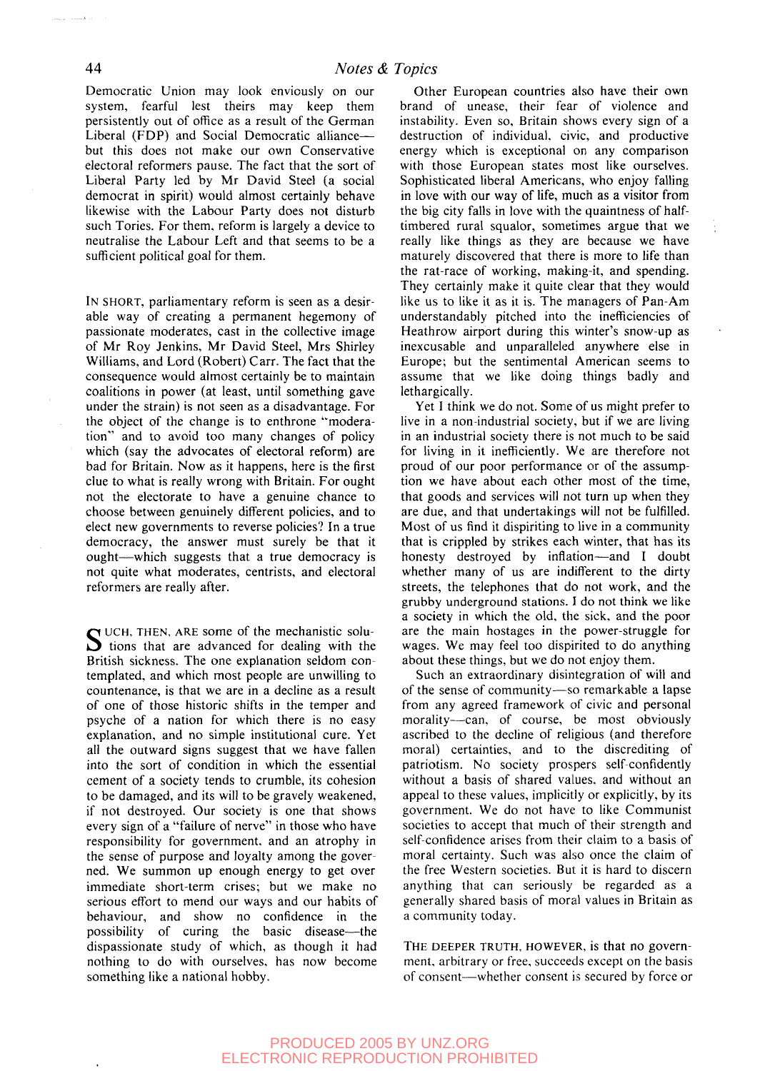Democratic Union may look enviously on our system, fearful lest theirs may keep them persistently out of office as a result of the German Liberal (FDP) and Social Democratic alliance but this does not make our own Conservative electoral reformers pause. The fact that the sort of Liberal Party led by Mr David Steel (a social democrat in spirit) would almost certainly behave likewise with the Labour Party does not disturb such Tories. For them, reform is largely a device to neutralise the Labour Left and that seems to be a sufficient political goal for them.

IN SHORT, parliamentary reform is seen as a desirable way of creating a permanent hegemony of passionate moderates, cast in the collective image of Mr Roy Jenkins, Mr David Steel, Mrs Shirley Williams, and Lord (Robert) Carr. The fact that the consequence would almost certainly be to maintain coalitions in power (at least, until something gave under the strain) is not seen as a disadvantage. For the object of the change is to enthrone "moderation" and to avoid too many changes of policy which (say the advocates of electoral reform) are bad for Britain. Now as it happens, here is the first clue to what is really wrong with Britain. For ought not the electorate to have a genuine chance to choose between genuinely different policies, and to elect new governments to reverse policies? In a true democracy, the answer must surely be that it ought—which suggests that a true democracy is not quite what moderates, centrists, and electoral reformers are really after.

SUCH, THEN, ARE some of the mechanistic solutions that are advanced for dealing with the  $\sum$  tions that are advanced for dealing with the British sickness. The one explanation seldom contemplated, and which most people are unwilling to countenance, is that we are in a decline as a result of one of those historic shifts in the temper and psyche of a nation for which there is no easy explanation, and no simple institutional cure. Yet all the outward signs suggest that we have fallen into the sort of condition in which the essential cement of a society tends to crumble, its cohesion to be damaged, and its will to be gravely weakened, if not destroyed. Our society is one that shows every sign of a "failure of nerve" in those who have responsibility for government, and an atrophy in the sense of purpose and loyalty among the governed. We summon up enough energy to get over immediate short-term crises; but we make no serious effort to mend our ways and our habits of behaviour, and show no confidence in the possibility of curing the basic disease—the dispassionate study of which, as though it had nothing to do with ourselves, has now become something like a national hobby.

Other European countries also have their own brand of unease, their fear of violence and instability. Even so, Britain shows every sign of a destruction of individual, civic, and productive energy which is exceptional on any comparison with those European states most like ourselves. Sophisticated liberal Americans, who enjoy falling in love with our way of life, much as a visitor from the big city falls in love with the quaintness of halftimbered rural squalor, sometimes argue that we really like things as they are because we have maturely discovered that there is more to life than the rat-race of working, making-it, and spending. They certainly make it quite clear that they would like us to like it as it is. The managers of Pan-Am understandably pitched into the inefficiencies of Heathrow airport during this winter's snow-up as inexcusable and unparalleled anywhere else in Europe; but the sentimental American seems to assume that we like doing things badly and lethargically.

Yet I think we do not. Some of us might prefer to live in a non-industrial society, but if we are living in an industrial society there is not much to be said for living in it inefficiently. We are therefore not proud of our poor performance or of the assumption we have about each other most of the time, that goods and services will not turn up when they are due, and that undertakings will not be fulfilled. Most of us find it dispiriting to live in a community that is crippled by strikes each winter, that has its honesty destroyed by inflation—and I doubt whether many of us are indifferent to the dirty streets, the telephones that do not work, and the grubby underground stations. I do not think we like a society in which the old, the sick, and the poor are the main hostages in the power-struggle for wages. We may feel too dispirited to do anything about these things, but we do not enjoy them.

Such an extraordinary disintegration of will and of the sense of community—so remarkable a lapse from any agreed framework of civic and personal morality—can, of course, be most obviously ascribed to the decline of religious (and therefore moral) certainties, and to the discrediting of patriotism. No society prospers self-confidently without a basis of shared values, and without an appeal to these values, implicitly or explicitly, by its government. We do not have to like Communist societies to accept that much of their strength and self-confidence arises from their claim to a basis of moral certainty. Such was also once the claim of the free Western societies. But it is hard to discern anything that can seriously be regarded as a generally shared basis of moral values in Britain as a community today.

THE DEEPER TRUTH, HOWEVER, is that no government, arbitrary or free, succeeds except on the basis of consent—whether consent is secured by force or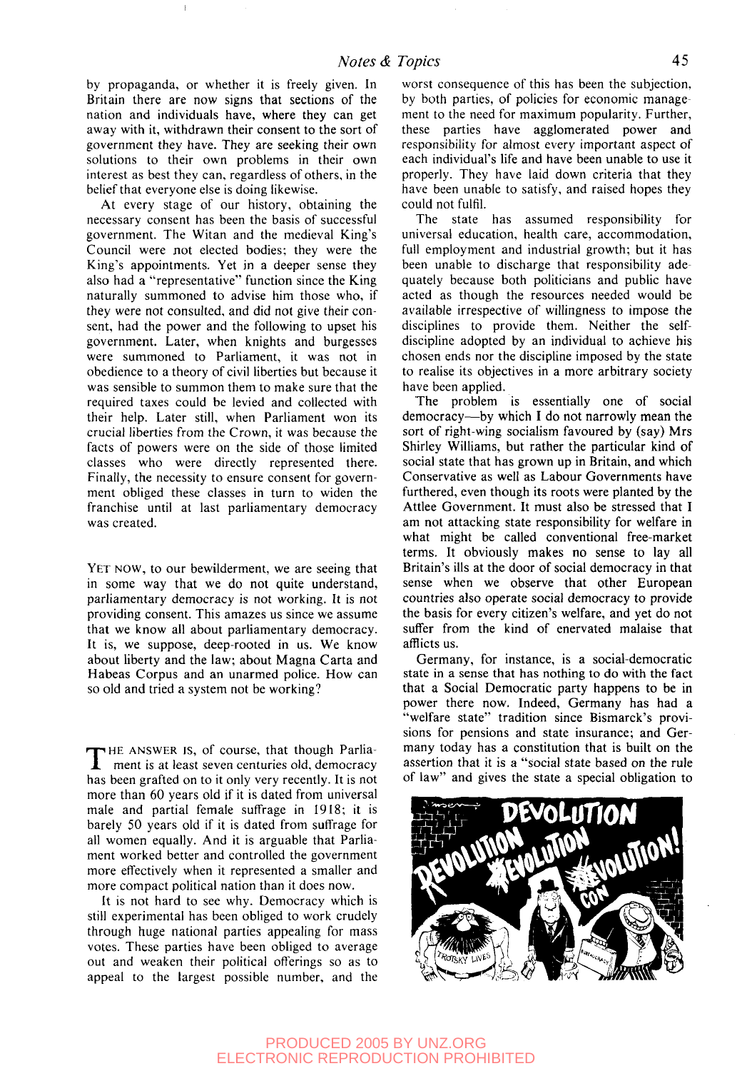by propaganda, or whether it is freely given. In Britain there are now signs that sections of the nation and individuals have, where they can get away with it, withdrawn their consent to the sort of government they have. They are seeking their own solutions to their own problems in their own interest as best they can, regardless of others, in the belief that everyone else is doing likewise.

At every stage of our history, obtaining the necessary consent has been the basis of successful government. The Witan and the medieval King's Council were not elected bodies; they were the King's appointments. Yet in a deeper sense they also had a "representative" function since the King naturally summoned to advise him those who, if they were not consulted, and did not give their consent, had the power and the following to upset his government. Later, when knights and burgesses were summoned to Parliament, it was not in obedience to a theory of civil liberties but because it was sensible to summon them to make sure that the required taxes could be levied and collected with their help. Later still, when Parliament won its crucial liberties from the Crown, it was because the facts of powers were on the side of those limited classes who were directly represented there. Finally, the necessity to ensure consent for government obliged these classes in turn to widen the franchise until at last parliamentary democracy was created.

YET NOW, to our bewilderment, we are seeing that in some way that we do not quite understand, parliamentary democracy is not working. It is not providing consent. This amazes us since we assume that we know all about parliamentary democracy. It is, we suppose, deep-rooted in us. We know about liberty and the law; about Magna Carta and Habeas Corpus and an unarmed police. How can so old and tried a system not be working?

THE ANSWER IS, of course, that though Parliament is at least seven centuries old, democracy HE ANSWER is, of course, that though Parliahas been grafted on to it only very recently. It is not more than 60 years old if it is dated from universal male and partial female suffrage in 1918; it is barely 50 years old if it is dated from suffrage for all women equally. And it is arguable that Parliament worked better and controlled the government more effectively when it represented a smaller and more compact political nation than it does now.

It is not hard to see why. Democracy which is still experimental has been obliged to work crudely through huge national parties appealing for mass votes. These parties have been obliged to average out and weaken their political offerings so as to appeal to the largest possible number, and the worst consequence of this has been the subjection, by both parties, of policies for economic management to the need for maximum popularity. Further, these parties have agglomerated power and responsibility for almost every important aspect of each individual's life and have been unable to use it properly. They have laid down criteria that they have been unable to satisfy, and raised hopes they could not fulfil.

The state has assumed responsibility for universal education, health care, accommodation, full employment and industrial growth; but it has been unable to discharge that responsibility adequately because both politicians and public have acted as though the resources needed would be available irrespective of willingness to impose the disciplines to provide them. Neither the selfdiscipline adopted by an individual to achieve his chosen ends nor the discipline imposed by the state to realise its objectives in a more arbitrary society have been applied.

The problem is essentially one of social democracy—by which I do not narrowly mean the sort of right-wing socialism favoured by (say) Mrs Shirley Williams, but rather the particular kind of social state that has grown up in Britain, and which Conservative as well as Labour Governments have furthered, even though its roots were planted by the Attlee Government. It must also be stressed that I am not attacking state responsibility for welfare in what might be called conventional free-market terms. It obviously makes no sense to lay all Britain's ills at the door of social democracy in that sense when we observe that other European countries also operate social democracy to provide the basis for every citizen's welfare, and yet do not suffer from the kind of enervated malaise that afflicts us.

Germany, for instance, is a social-democratic state in a sense that has nothing to do with the fact that a Social Democratic party happens to be in power there now. Indeed, Germany has had a "welfare state" tradition since Bismarck's provisions for pensions and state insurance; and Germany today has a constitution that is built on the assertion that it is a "social state based on the rule of law" and gives the state a special obligation to

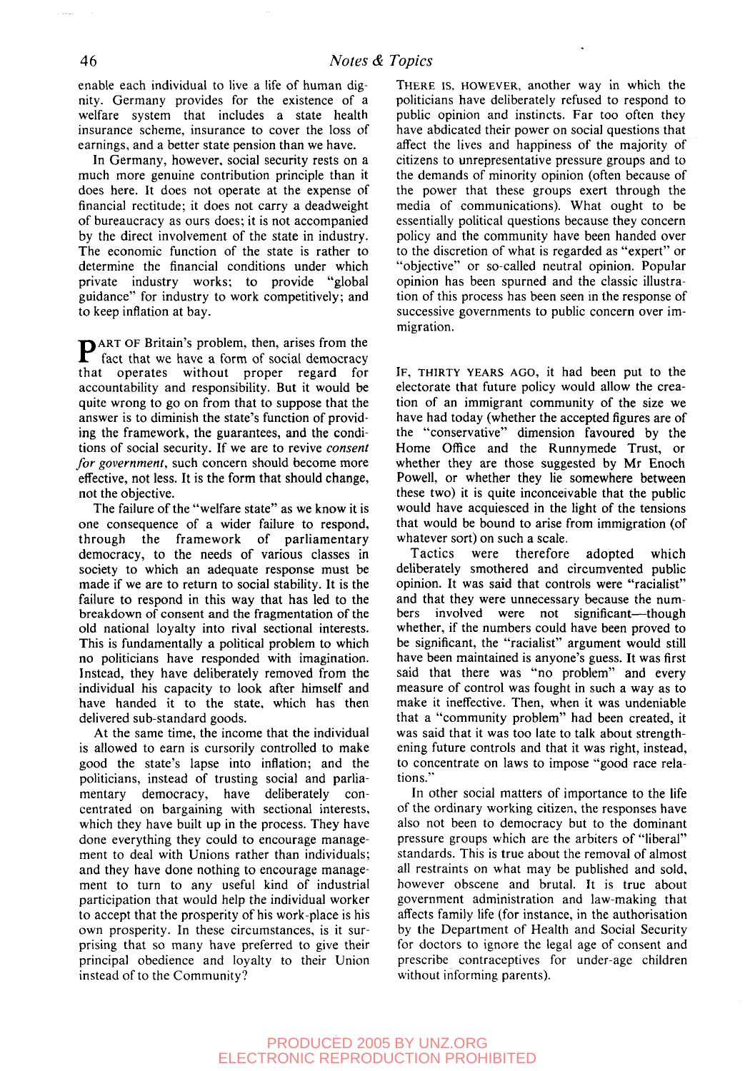enable each individual to live a life of human dignity. Germany provides for the existence of a welfare system that includes a state health insurance scheme, insurance to cover the loss of earnings, and a better state pension than we have.

In Germany, however, social security rests on a much more genuine contribution principle than it does here. It does not operate at the expense of financial rectitude; it does not carry a deadweight of bureaucracy as ours does; it is not accompanied by the direct involvement of the state in industry. The economic function of the state is rather to determine the financial conditions under which private industry works; to provide "global guidance" for industry to work competitively; and to keep inflation at bay.

**P**ART OF Britain's problem, then, arises from the fact that we have a form of social democracy fact that we have a form of social democracy that operates without proper regard for accountability and responsibility. But it would be quite wrong to go on from that to suppose that the answer is to diminish the state's function of providing the framework, the guarantees, and the conditions of social security. If we are to revive *consent for government,* such concern should become more effective, not less. It is the form that should change, not the objective.

The failure of the "welfare state" as we know it is one consequence of a wider failure to respond, through the framework of parliamentary democracy, to the needs of various classes in society to which an adequate response must be made if we are to return to social stability. It is the failure to respond in this way that has led to the breakdown of consent and the fragmentation of the old national loyalty into rival sectional interests. This is fundamentally a political problem to which no politicians have responded with imagination. Instead, they have deliberately removed from the individual his capacity to look after himself and have handed it to the state, which has then delivered sub-standard goods.

At the same time, the income that the individual is allowed to earn is cursorily controlled to make good the state's lapse into inflation; and the politicians, instead of trusting social and parliamentary democracy, have deliberately concentrated on bargaining with sectional interests, which they have built up in the process. They have done everything they could to encourage management to deal with Unions rather than individuals; and they have done nothing to encourage management to turn to any useful kind of industrial participation that would help the individual worker to accept that the prosperity of his work-place is his own prosperity. In these circumstances, is it surprising that so many have preferred to give their principal obedience and loyalty to their Union instead of to the Community?

THERE IS, HOWEVER, another way in which the politicians have deliberately refused to respond to public opinion and instincts. Far too often they have abdicated their power on social questions that affect the lives and happiness of the majority of citizens to unrepresentative pressure groups and to the demands of minority opinion (often because of the power that these groups exert through the media of communications). What ought to be essentially political questions because they concern policy and the community have been handed over to the discretion of what is regarded as "expert" or "objective" or so-called neutral opinion. Popular opinion has been spurned and the classic illustration of this process has been seen in the response of successive governments to public concern over immigration.

IF, THIRTY YEARS AGO, it had been put to the electorate that future policy would allow the creation of an immigrant community of the size we have had today (whether the accepted figures are of the "conservative" dimension favoured by the Home Office and the Runnymede Trust, or whether they are those suggested by Mr Enoch Powell, or whether they lie somewhere between these two) it is quite inconceivable that the public would have acquiesced in the light of the tensions that would be bound to arise from immigration (of whatever sort) on such a scale.

Tactics were therefore adopted which deliberately smothered and circumvented public opinion. It was said that controls were "racialist" and that they were unnecessary because the numbers involved were not significant—though whether, if the numbers could have been proved to be significant, the "racialist" argument would still have been maintained is anyone's guess. It was first said that there was "no problem" and every measure of control was fought in such a way as to make it ineffective. Then, when it was undeniable that a "community problem" had been created, it was said that it was too late to talk about strengthening future controls and that it was right, instead, to concentrate on laws to impose "good race relations."

In other social matters of importance to the life of the ordinary working citizen, the responses have also not been to democracy but to the dominant pressure groups which are the arbiters of "liberal" standards. This is true about the removal of almost all restraints on what may be published and sold, however obscene and brutal. It is true about government administration and law-making that affects family life (for instance, in the authorisation by the Department of Health and Social Security for doctors to ignore the legal age of consent and prescribe contraceptives for under-age children without informing parents).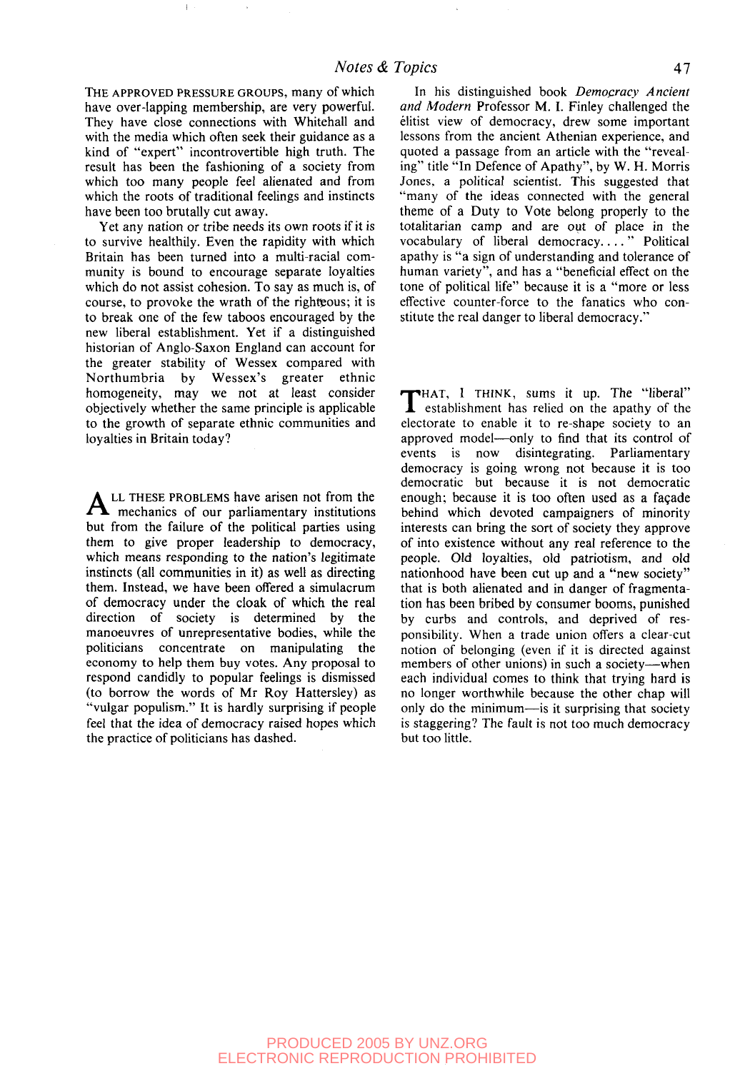THE APPROVED PRESSURE GROUPS, many of which have over-lapping membership, are very powerful. They have close connections with Whitehall and with the media which often seek their guidance as a kind of "expert" incontrovertible high truth. The result has been the fashioning of a society from which too many people feel alienated and from which the roots of traditional feelings and instincts have been too brutally cut away.

Yet any nation or tribe needs its own roots if it is to survive healthily. Even the rapidity with which Britain has been turned into a multi-racial community is bound to encourage separate loyalties which do not assist cohesion. To say as much is, of course, to provoke the wrath of the righteous; it is to break one of the few taboos encouraged by the new liberal establishment. Yet if a distinguished historian of Anglo-Saxon England can account for the greater stability of Wessex compared with Northumbria by Wessex's greater ethnic homogeneity, may we not at least consider objectively whether the same principle is applicable to the growth of separate ethnic communities and loyalties in Britain today?

ALL THESE PROBLEMS have arisen not from the mechanics of our parliamentary institutions mechanics of our parliamentary institutions but from the failure of the political parties using them to give proper leadership to democracy, which means responding to the nation's legitimate instincts (all communities in it) as well as directing them. Instead, we have been offered a simulacrum of democracy under the cloak of which the real direction of society is determined by the manoeuvres of unrepresentative bodies, while the politicians concentrate on manipulating the economy to help them buy votes. Any proposal to respond candidly to popular feelings is dismissed (to borrow the words of Mr Roy Hattersley) as "vulgar populism." It is hardly surprising if people feel that the idea of democracy raised hopes which the practice of politicians has dashed.

In his distinguished book *Democracy Ancient and Modern* Professor M. I. Finley challenged the elitist view of democracy, drew some important lessons from the ancient Athenian experience, and quoted a passage from an article with the "revealing" title "In Defence of Apathy", by W. H. Morris Jones, a political scientist. This suggested that "many of the ideas connected with the general theme of a Duty to Vote belong properly to the totalitarian camp and are out of place in the vocabulary of liberal democracy...." Political apathy is "a sign of understanding and tolerance of human variety", and has a "beneficial effect on the tone of political life" because it is a "more or less effective counter-force to the fanatics who constitute the real danger to liberal democracy."

THAT, I THINK, sums it up. The "liberal" establishment has relied on the apathy of the HAT, I THINK, sums it up. The "liberal" electorate to enable it to re-shape society to an approved model—only to find that its control of events is now disintegrating. Parliamentary democracy is going wrong not because it is too democratic but because it is not democratic enough; because it is too often used as a facade behind which devoted campaigners of minority interests can bring the sort of society they approve of into existence without any real reference to the people. Old loyalties, old patriotism, and old nationhood have been cut up and a "new society" that is both alienated and in danger of fragmentation has been bribed by consumer booms, punished by curbs and controls, and deprived of responsibility. When a trade union offers a clear-cut notion of belonging (even if it is directed against members of other unions) in such a society—when each individual comes to think that trying hard is no longer worthwhile because the other chap will only do the minimum—is it surprising that society is staggering? The fault is not too much democracy but too little.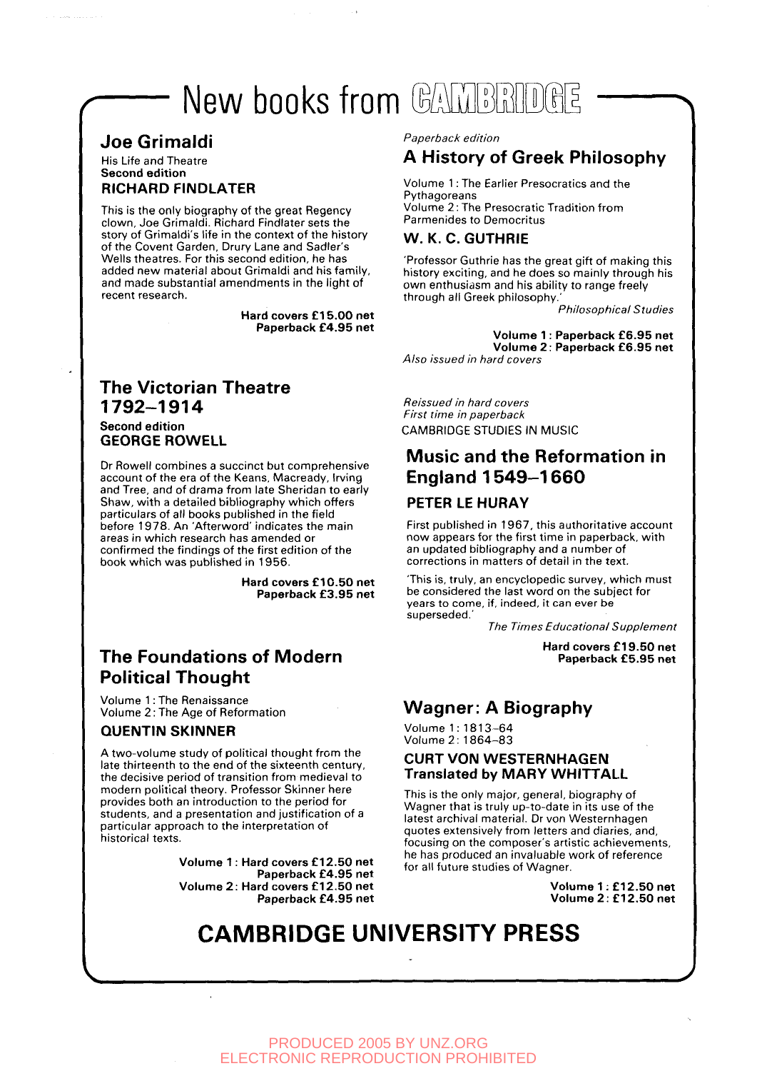# New books from CAMPRIDGE

### Joe Grimaldi

His Life and Theatre **Second edition RICHARD FINDLATER**

This is the only biography of the great Regency clown, Joe Grimaldi. Richard Findlater sets the story of Grimaldi's life in the context of the history of the Covent Garden, Drury Lane and Sadler's Wells theatres. For this second edition, he has added new material about Grimaldi and his family, and made substantial amendments in the light of recent research.

> **Hard covers £15.00 net Paperback £4.95 net**

#### The Victorian Theatre 1792-1914 **Second edition GEORGE ROWELL**

Dr Rowell combines a succinct but comprehensive account of the era of the Keans, Macready, Irving and Tree, and of drama from late Sheridan to early Shaw, with a detailed bibliography which offers particulars of all books published in the field before 1978. An 'Afterword' indicates the main areas in which research has amended or confirmed the findings of the first edition of the book which was published in 1956.

> **Hard covers £10.50 net Paperback £3.95 net**

## The Foundations of Modern Political Thought

Volume 1: The Renaissance Volume 2: The Age of Reformation

#### **QUENTIN SKINNER**

A two-volume study of political thought from the late thirteenth to the end of the sixteenth century, the decisive period of transition from medieval to modern political theory. Professor Skinner here provides both an introduction to the period for students, and a presentation and justification of a particular approach to the interpretation of historical texts.

> **Volume 1: Hard covers £12.50 net Paperback £4.95 net Volume 2: Hard covers £12.50 net Paperback £4.95 net**

Paperback edition

### A History of Greek Philosophy

Volume 1: The Earlier Presocratics and the **Pythagoreans** Volume 2: The Presocratic Tradition from Parmenides to Democritus

#### **W. K. C. GUTHRIE**

'Professor Guthrie has the great gift of making this history exciting, and he does so mainly through his own enthusiasm and his ability to range freely through all Greek philosophy.

Philosophical Studies

**Volume 1: Paperback £6.95 net Volume 2: Paperback £6.95 net** Also issued in hard covers

Reissued in hard covers First time in paperback CAMBRIDGE STUDIES IN MUSIC

### Music and the Reformation in England 1549-1660

#### **PETER LE HURAY**

First published in 1967, this authoritative account now appears for the first time in paperback, with an updated bibliography and a number of corrections in matters of detail in the text.

'This is, truly, an encyclopedic survey, which must be considered the last word on the subject for years to come, if, indeed, it can ever be superseded.'

The Times Educational Supplement

**Hard covers £19.50 net Paperback £5.95 net**

## Wagner: A Biography

Volume 1: 1813-64 Volume 2: 1864-83

#### **CURT VON WESTERNHAGEN Translated by MARY WHITTALL**

This is the only major, general, biography of Wagner that is truly up-to-date in its use of the latest archival material. Dr von Westernhagen quotes extensively from letters and diaries, and, focusing on the composer's artistic achievements, he has produced an invaluable work of reference for all future studies of Wagner.

> **Volume 1: £12.50 net Volume 2: £12.50 net**

## **CAMBRIDGE UNIVERSITY PRESS**

PRODUCED 2005 BY UNZ.ORG ELECTRONIC REPRODUCTION PROHIBITED